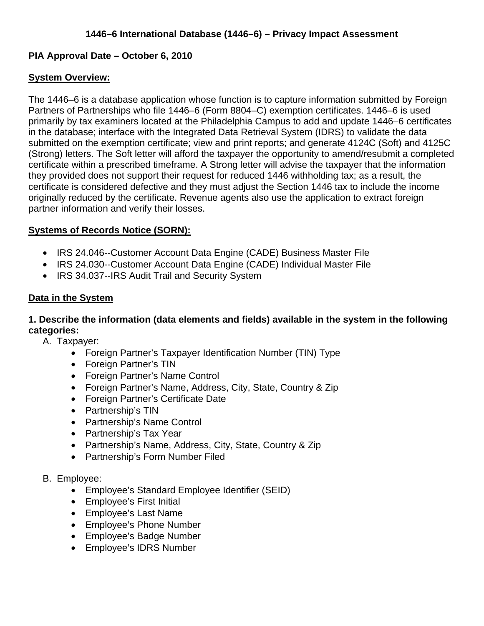## **PIA Approval Date – October 6, 2010**

## **System Overview:**

The 1446–6 is a database application whose function is to capture information submitted by Foreign Partners of Partnerships who file 1446–6 (Form 8804–C) exemption certificates. 1446–6 is used primarily by tax examiners located at the Philadelphia Campus to add and update 1446–6 certificates in the database; interface with the Integrated Data Retrieval System (IDRS) to validate the data submitted on the exemption certificate; view and print reports; and generate 4124C (Soft) and 4125C (Strong) letters. The Soft letter will afford the taxpayer the opportunity to amend/resubmit a completed certificate within a prescribed timeframe. A Strong letter will advise the taxpayer that the information they provided does not support their request for reduced 1446 withholding tax; as a result, the certificate is considered defective and they must adjust the Section 1446 tax to include the income originally reduced by the certificate. Revenue agents also use the application to extract foreign partner information and verify their losses.

## **Systems of Records Notice (SORN):**

- IRS 24.046--Customer Account Data Engine (CADE) Business Master File
- IRS 24.030--Customer Account Data Engine (CADE) Individual Master File
- IRS 34.037--IRS Audit Trail and Security System

### **Data in the System**

## **1. Describe the information (data elements and fields) available in the system in the following categories:**

A. Taxpayer:

- Foreign Partner's Taxpayer Identification Number (TIN) Type
- Foreign Partner's TIN
- Foreign Partner's Name Control
- Foreign Partner's Name, Address, City, State, Country & Zip
- Foreign Partner's Certificate Date
- Partnership's TIN
- Partnership's Name Control
- Partnership's Tax Year
- Partnership's Name, Address, City, State, Country & Zip
- Partnership's Form Number Filed
- B. Employee:
	- Employee's Standard Employee Identifier (SEID)
	- Employee's First Initial
	- Employee's Last Name
	- Employee's Phone Number
	- Employee's Badge Number
	- Employee's IDRS Number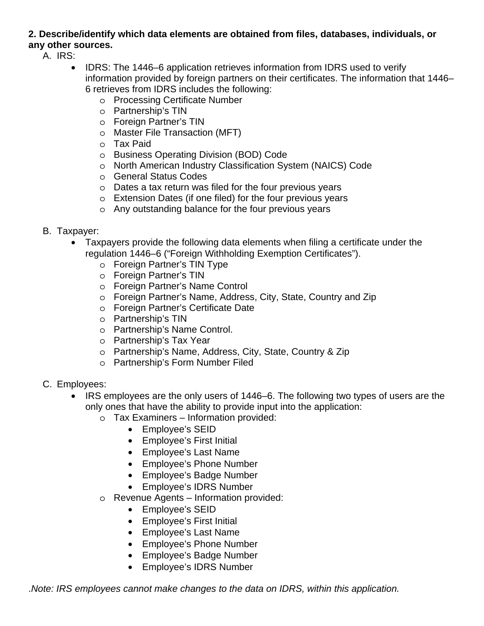## **2. Describe/identify which data elements are obtained from files, databases, individuals, or any other sources.**

A. IRS:

- IDRS: The 1446–6 application retrieves information from IDRS used to verify information provided by foreign partners on their certificates. The information that 1446– 6 retrieves from IDRS includes the following:
	- o Processing Certificate Number
	- o Partnership's TIN
	- o Foreign Partner's TIN
	- o Master File Transaction (MFT)
	- o Tax Paid
	- o Business Operating Division (BOD) Code
	- o North American Industry Classification System (NAICS) Code
	- o General Status Codes
	- o Dates a tax return was filed for the four previous years
	- o Extension Dates (if one filed) for the four previous years
	- o Any outstanding balance for the four previous years
- B. Taxpayer:
	- Taxpayers provide the following data elements when filing a certificate under the regulation 1446–6 ("Foreign Withholding Exemption Certificates").
		- o Foreign Partner's TIN Type
		- o Foreign Partner's TIN
		- o Foreign Partner's Name Control
		- o Foreign Partner's Name, Address, City, State, Country and Zip
		- o Foreign Partner's Certificate Date
		- o Partnership's TIN
		- o Partnership's Name Control.
		- o Partnership's Tax Year
		- o Partnership's Name, Address, City, State, Country & Zip
		- o Partnership's Form Number Filed
- C. Employees:
	- IRS employees are the only users of 1446–6. The following two types of users are the only ones that have the ability to provide input into the application:
		- o Tax Examiners Information provided:
			- Employee's SEID
			- Employee's First Initial
			- Employee's Last Name
			- Employee's Phone Number
			- Employee's Badge Number
			- Employee's IDRS Number
		- o Revenue Agents Information provided:
			- Employee's SEID
			- Employee's First Initial
			- Employee's Last Name
			- Employee's Phone Number
			- Employee's Badge Number
			- Employee's IDRS Number

.*Note: IRS employees cannot make changes to the data on IDRS, within this application.*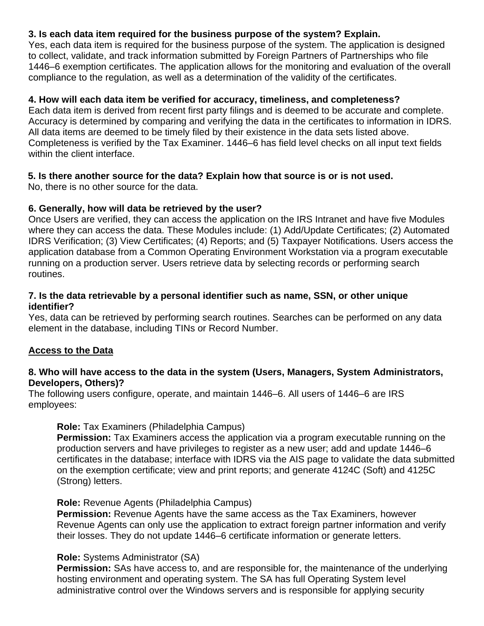## **3. Is each data item required for the business purpose of the system? Explain.**

Yes, each data item is required for the business purpose of the system. The application is designed to collect, validate, and track information submitted by Foreign Partners of Partnerships who file 1446–6 exemption certificates. The application allows for the monitoring and evaluation of the overall compliance to the regulation, as well as a determination of the validity of the certificates.

## **4. How will each data item be verified for accuracy, timeliness, and completeness?**

Each data item is derived from recent first party filings and is deemed to be accurate and complete. Accuracy is determined by comparing and verifying the data in the certificates to information in IDRS. All data items are deemed to be timely filed by their existence in the data sets listed above. Completeness is verified by the Tax Examiner. 1446–6 has field level checks on all input text fields within the client interface.

## **5. Is there another source for the data? Explain how that source is or is not used.**

No, there is no other source for the data.

### **6. Generally, how will data be retrieved by the user?**

Once Users are verified, they can access the application on the IRS Intranet and have five Modules where they can access the data. These Modules include: (1) Add/Update Certificates; (2) Automated IDRS Verification; (3) View Certificates; (4) Reports; and (5) Taxpayer Notifications. Users access the application database from a Common Operating Environment Workstation via a program executable running on a production server. Users retrieve data by selecting records or performing search routines.

#### **7. Is the data retrievable by a personal identifier such as name, SSN, or other unique identifier?**

Yes, data can be retrieved by performing search routines. Searches can be performed on any data element in the database, including TINs or Record Number.

#### **Access to the Data**

#### **8. Who will have access to the data in the system (Users, Managers, System Administrators, Developers, Others)?**

The following users configure, operate, and maintain 1446–6. All users of 1446–6 are IRS employees:

#### **Role:** Tax Examiners (Philadelphia Campus)

**Permission:** Tax Examiners access the application via a program executable running on the production servers and have privileges to register as a new user; add and update 1446–6 certificates in the database; interface with IDRS via the AIS page to validate the data submitted on the exemption certificate; view and print reports; and generate 4124C (Soft) and 4125C (Strong) letters.

#### **Role:** Revenue Agents (Philadelphia Campus)

**Permission:** Revenue Agents have the same access as the Tax Examiners, however Revenue Agents can only use the application to extract foreign partner information and verify their losses. They do not update 1446–6 certificate information or generate letters.

#### **Role:** Systems Administrator (SA)

**Permission:** SAs have access to, and are responsible for, the maintenance of the underlying hosting environment and operating system. The SA has full Operating System level administrative control over the Windows servers and is responsible for applying security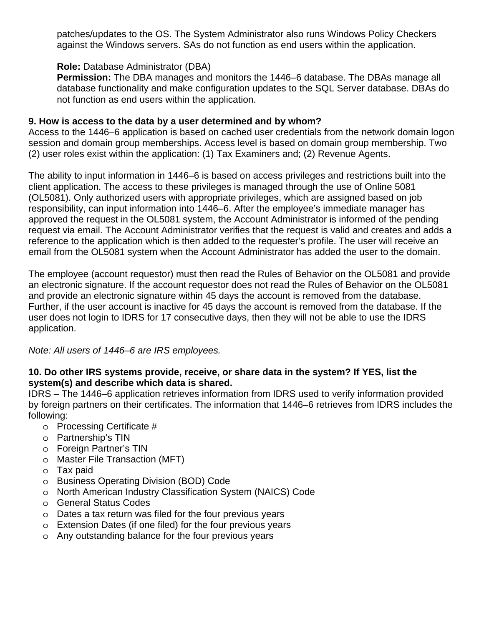patches/updates to the OS. The System Administrator also runs Windows Policy Checkers against the Windows servers. SAs do not function as end users within the application.

## **Role:** Database Administrator (DBA)

**Permission:** The DBA manages and monitors the 1446–6 database. The DBAs manage all database functionality and make configuration updates to the SQL Server database. DBAs do not function as end users within the application.

#### **9. How is access to the data by a user determined and by whom?**

Access to the 1446–6 application is based on cached user credentials from the network domain logon session and domain group memberships. Access level is based on domain group membership. Two (2) user roles exist within the application: (1) Tax Examiners and; (2) Revenue Agents.

The ability to input information in 1446–6 is based on access privileges and restrictions built into the client application. The access to these privileges is managed through the use of Online 5081 (OL5081). Only authorized users with appropriate privileges, which are assigned based on job responsibility, can input information into 1446–6. After the employee's immediate manager has approved the request in the OL5081 system, the Account Administrator is informed of the pending request via email. The Account Administrator verifies that the request is valid and creates and adds a reference to the application which is then added to the requester's profile. The user will receive an email from the OL5081 system when the Account Administrator has added the user to the domain.

The employee (account requestor) must then read the Rules of Behavior on the OL5081 and provide an electronic signature. If the account requestor does not read the Rules of Behavior on the OL5081 and provide an electronic signature within 45 days the account is removed from the database. Further, if the user account is inactive for 45 days the account is removed from the database. If the user does not login to IDRS for 17 consecutive days, then they will not be able to use the IDRS application.

*Note: All users of 1446–6 are IRS employees.* 

### **10. Do other IRS systems provide, receive, or share data in the system? If YES, list the system(s) and describe which data is shared.**

IDRS – The 1446–6 application retrieves information from IDRS used to verify information provided by foreign partners on their certificates. The information that 1446–6 retrieves from IDRS includes the following:

- o Processing Certificate #
- o Partnership's TIN
- o Foreign Partner's TIN
- o Master File Transaction (MFT)
- o Tax paid
- o Business Operating Division (BOD) Code
- o North American Industry Classification System (NAICS) Code
- o General Status Codes
- o Dates a tax return was filed for the four previous years
- o Extension Dates (if one filed) for the four previous years
- o Any outstanding balance for the four previous years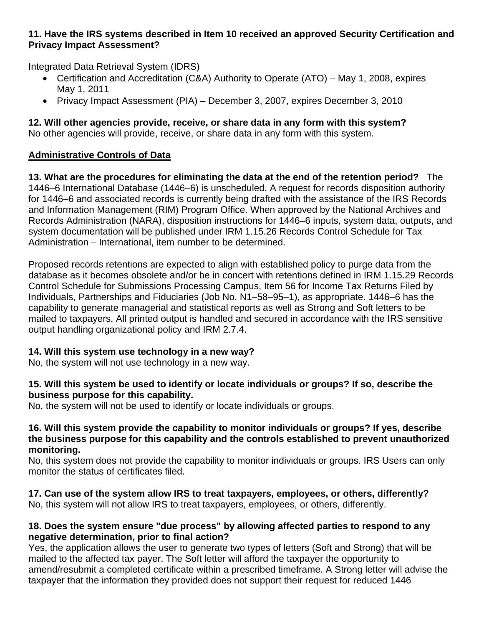## **11. Have the IRS systems described in Item 10 received an approved Security Certification and Privacy Impact Assessment?**

Integrated Data Retrieval System (IDRS)

- Certification and Accreditation (C&A) Authority to Operate (ATO) May 1, 2008, expires May 1, 2011
- Privacy Impact Assessment (PIA) December 3, 2007, expires December 3, 2010

# **12. Will other agencies provide, receive, or share data in any form with this system?**

No other agencies will provide, receive, or share data in any form with this system.

## **Administrative Controls of Data**

**13. What are the procedures for eliminating the data at the end of the retention period?** The 1446–6 International Database (1446–6) is unscheduled. A request for records disposition authority for 1446–6 and associated records is currently being drafted with the assistance of the IRS Records and Information Management (RIM) Program Office. When approved by the National Archives and Records Administration (NARA), disposition instructions for 1446–6 inputs, system data, outputs, and system documentation will be published under IRM 1.15.26 Records Control Schedule for Tax Administration – International, item number to be determined.

Proposed records retentions are expected to align with established policy to purge data from the database as it becomes obsolete and/or be in concert with retentions defined in IRM 1.15.29 Records Control Schedule for Submissions Processing Campus, Item 56 for Income Tax Returns Filed by Individuals, Partnerships and Fiduciaries (Job No. N1–58–95–1), as appropriate. 1446–6 has the capability to generate managerial and statistical reports as well as Strong and Soft letters to be mailed to taxpayers. All printed output is handled and secured in accordance with the IRS sensitive output handling organizational policy and IRM 2.7.4.

## **14. Will this system use technology in a new way?**

No, the system will not use technology in a new way.

## **15. Will this system be used to identify or locate individuals or groups? If so, describe the business purpose for this capability.**

No, the system will not be used to identify or locate individuals or groups.

## **16. Will this system provide the capability to monitor individuals or groups? If yes, describe the business purpose for this capability and the controls established to prevent unauthorized monitoring.**

No, this system does not provide the capability to monitor individuals or groups. IRS Users can only monitor the status of certificates filed.

#### **17. Can use of the system allow IRS to treat taxpayers, employees, or others, differently?**  No, this system will not allow IRS to treat taxpayers, employees, or others, differently.

## **18. Does the system ensure "due process" by allowing affected parties to respond to any negative determination, prior to final action?**

Yes, the application allows the user to generate two types of letters (Soft and Strong) that will be mailed to the affected tax payer. The Soft letter will afford the taxpayer the opportunity to amend/resubmit a completed certificate within a prescribed timeframe. A Strong letter will advise the taxpayer that the information they provided does not support their request for reduced 1446